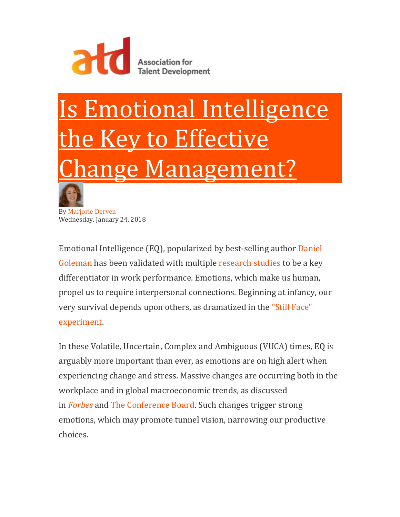

## Is Emotional Intelligence Key to Effective nge Management?



By [Marjorie Derven](https://www.td.org/user/about/MarjorieDerven) Wednesday, January 24, 2018

Emotional Intelligence (EQ), popularized by best-selling author [Daniel](http://www.danielgoleman.info/biography/)  [Goleman](http://www.danielgoleman.info/biography/) has been validated with multiple [research studies](http://www.eiconsortium.org/) to be a key differentiator in work performance. Emotions, which make us human, propel us to require interpersonal connections. Beginning at infancy, our very survival depends upon others, as dramatized in the ["Still Face"](https://www.youtube.com/watch?=apzXGEbZht0)  [experiment.](https://www.youtube.com/watch?=apzXGEbZht0)

In these Volatile, Uncertain, Complex and Ambiguous (VUCA) times, EQ is arguably more important than ever, as emotions are on high alert when experiencing change and stress. Massive changes are occurring both in the workplace and in global macroeconomic trends, as discussed in *[Forbes](https://www.forbes.com/sites/danschawbel/2016/11/01/workplace-trends-2017/#27dc544a56bd)* and [The Conference Board.](https://www.conference-board.org/data/globaloutlook/) Such changes trigger strong emotions, which may promote tunnel vision, narrowing our productive choices.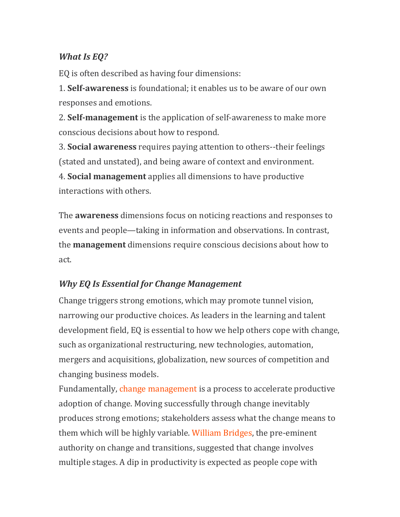## *What Is EQ?*

EQ is often described as having four dimensions:

1. **Self-awareness** is foundational; it enables us to be aware of our own responses and emotions.

2. **Self-management** is the application of self-awareness to make more conscious decisions about how to respond.

3. **Social awareness** requires paying attention to others--their feelings (stated and unstated), and being aware of context and environment.

4. **Social management** applies all dimensions to have productive interactions with others.

The **awareness** dimensions focus on noticing reactions and responses to events and people—taking in information and observations. In contrast, the **management** dimensions require conscious decisions about how to act.

## *Why EQ Is Essential for Change Management*

Change triggers strong emotions, which may promote tunnel vision, narrowing our productive choices. As leaders in the learning and talent development field, EQ is essential to how we help others cope with change, such as organizational restructuring, new technologies, automation, mergers and acquisitions, globalization, new sources of competition and changing business models.

Fundamentally, [change management](https://www.td.org/talent-development-glossary-terms/what-is-change-management) is a process to accelerate productive adoption of change. Moving successfully through change inevitably produces strong emotions; stakeholders assess what the change means to them which will be highly variable. [William Bridges,](https://wmbridges.com/what-is-transition/) the pre-eminent authority on change and transitions, suggested that change involves multiple stages. A dip in productivity is expected as people cope with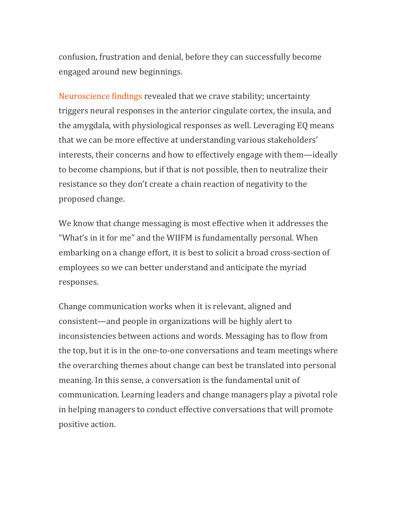confusion, frustration and denial, before they can successfully become engaged around new beginnings.

[Neuroscience findings](https://www.fastcompany.com/3057733/how-your-brain-reacts-to-change) revealed that we crave stability; uncertainty triggers neural responses in the anterior cingulate cortex, the insula, and the amygdala, with physiological responses as well. Leveraging EQ means that we can be more effective at understanding various stakeholders' interests, their concerns and how to effectively engage with them—ideally to become champions, but if that is not possible, then to neutralize their resistance so they don't create a chain reaction of negativity to the proposed change.

We know that change messaging is most effective when it addresses the "What's in it for me" and the WIIFM is fundamentally personal. When embarking on a change effort, it is best to solicit a broad cross-section of employees so we can better understand and anticipate the myriad responses.

Change communication works when it is relevant, aligned and consistent—and people in organizations will be highly alert to inconsistencies between actions and words. Messaging has to flow from the top, but it is in the one-to-one conversations and team meetings where the overarching themes about change can best be translated into personal meaning. In this sense, a conversation is the fundamental unit of communication. Learning leaders and change managers play a pivotal role in helping managers to conduct effective conversations that will promote positive action.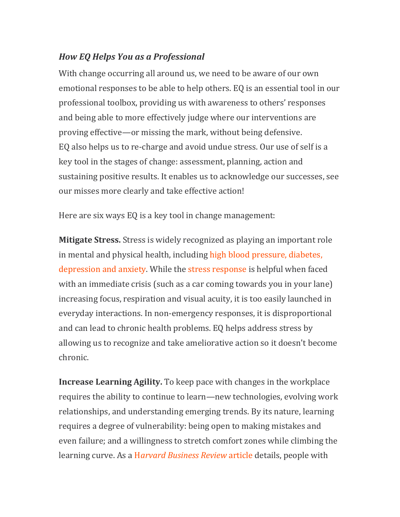## *How EQ Helps You as a Professional*

With change occurring all around us, we need to be aware of our own emotional responses to be able to help others. EQ is an essential tool in our professional toolbox, providing us with awareness to others' responses and being able to more effectively judge where our interventions are proving effective—or missing the mark, without being defensive. EQ also helps us to re-charge and avoid undue stress. Our use of self is a key tool in the stages of change: assessment, planning, action and sustaining positive results. It enables us to acknowledge our successes, see our misses more clearly and take effective action!

Here are six ways EQ is a key tool in change management:

**Mitigate Stress.** Stress is widely recognized as playing an important role in mental and physical health, including [high blood pressure, diabetes,](http://www.stress.org/stress-effects/)  [depression and anxiety.](http://www.stress.org/stress-effects/) While the [stress response](http://www.health.harvard.edu/stayinghealthy/understanding-the-stress-response) is helpful when faced with an immediate crisis (such as a car coming towards you in your lane) increasing focus, respiration and visual acuity, it is too easily launched in everyday interactions. In non-emergency responses, it is disproportional and can lead to chronic health problems. EQ helps address stress by allowing us to recognize and take ameliorative action so it doesn't become chronic.

**Increase Learning Agility.** To keep pace with changes in the workplace requires the ability to continue to learn—new technologies, evolving work relationships, and understanding emerging trends. By its nature, learning requires a degree of vulnerability: being open to making mistakes and even failure; and a willingness to stretch comfort zones while climbing the learning curve. As a H*[arvard Business Review](https://hbr.org/2015/06/improve-your-ability-to-learn)* article details, people with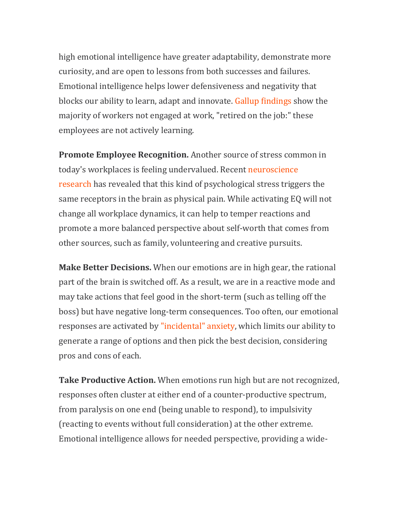high emotional intelligence have greater adaptability, demonstrate more curiosity, and are open to lessons from both successes and failures. Emotional intelligence helps lower defensiveness and negativity that blocks our ability to learn, adapt and innovate. [Gallup findings](http://www.gallup.com/services/178514/state-american-workplace.aspx?g_source=EMPLOYEE_ENGAGEMENT&g_medium=topic&g_campaign=tiles) show the majority of workers not engaged at work, "retired on the job:" these employees are not actively learning.

**Promote Employee Recognition.** Another source of stress common in today's workplaces is feeling undervalued. Recent [neuroscience](http://www.apa.org/monitor/2012/04/rejection.aspx)  [research](http://www.apa.org/monitor/2012/04/rejection.aspx) has revealed that this kind of psychological stress triggers the same receptors in the brain as physical pain. While activating EQ will not change all workplace dynamics, it can help to temper reactions and promote a more balanced perspective about self-worth that comes from other sources, such as family, volunteering and creative pursuits.

**Make Better Decisions.** When our emotions are in high gear, the rational part of the brain is switched off. As a result, we are in a reactive mode and may take actions that feel good in the short-term (such as telling off the boss) but have negative long-term consequences. Too often, our emotional responses are activated by ["incidental" anxiety,](https://www.ideasforleaders.com/ideas/decision-making-with-emotional-intelligence) which limits our ability to generate a range of options and then pick the best decision, considering pros and cons of each.

**Take Productive Action.** When emotions run high but are not recognized, responses often cluster at either end of a counter-productive spectrum, from paralysis on one end (being unable to respond), to impulsivity (reacting to events without full consideration) at the other extreme. Emotional intelligence allows for needed perspective, providing a wide